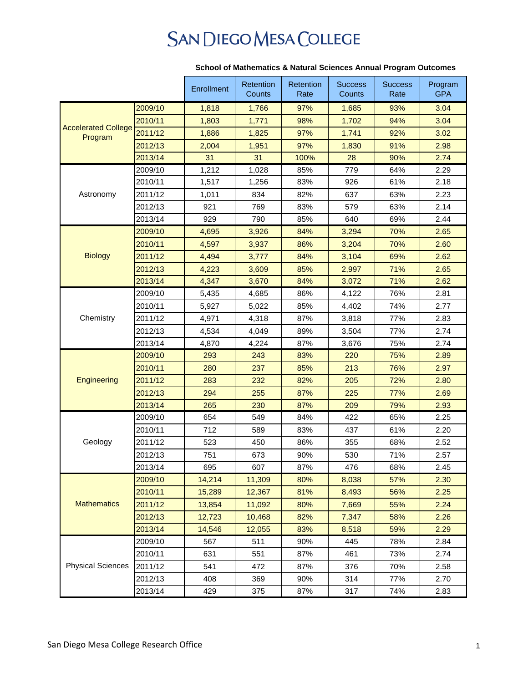## **SAN DIEGO MESA COLLEGE**

|                                       |         | Enrollment | Retention<br>Counts | Retention<br>Rate | <b>Success</b><br>Counts | <b>Success</b><br>Rate | Program<br><b>GPA</b> |
|---------------------------------------|---------|------------|---------------------|-------------------|--------------------------|------------------------|-----------------------|
|                                       |         |            |                     |                   |                          |                        |                       |
| <b>Accelerated College</b><br>Program | 2009/10 | 1,818      | 1,766               | 97%               | 1,685                    | 93%                    | 3.04                  |
|                                       | 2010/11 | 1,803      | 1,771               | 98%               | 1,702                    | 94%                    | 3.04                  |
|                                       | 2011/12 | 1,886      | 1,825               | 97%               | 1,741                    | 92%                    | 3.02                  |
|                                       | 2012/13 | 2,004      | 1,951               | 97%               | 1,830                    | 91%                    | 2.98                  |
|                                       | 2013/14 | 31         | 31                  | 100%              | 28                       | 90%                    | 2.74                  |
|                                       | 2009/10 | 1,212      | 1,028               | 85%               | 779                      | 64%                    | 2.29                  |
| Astronomy                             | 2010/11 | 1,517      | 1,256               | 83%               | 926                      | 61%                    | 2.18                  |
|                                       | 2011/12 | 1,011      | 834                 | 82%               | 637                      | 63%                    | 2.23                  |
|                                       | 2012/13 | 921        | 769                 | 83%               | 579                      | 63%                    | 2.14                  |
|                                       | 2013/14 | 929        | 790                 | 85%               | 640                      | 69%                    | 2.44                  |
|                                       | 2009/10 | 4,695      | 3,926               | 84%               | 3,294                    | 70%                    | 2.65                  |
|                                       | 2010/11 | 4,597      | 3,937               | 86%               | 3,204                    | 70%                    | 2.60                  |
| <b>Biology</b>                        | 2011/12 | 4,494      | 3,777               | 84%               | 3,104                    | 69%                    | 2.62                  |
|                                       | 2012/13 | 4,223      | 3,609               | 85%               | 2,997                    | 71%                    | 2.65                  |
|                                       | 2013/14 | 4,347      | 3,670               | 84%               | 3,072                    | 71%                    | 2.62                  |
|                                       | 2009/10 | 5,435      | 4,685               | 86%               | 4,122                    | 76%                    | 2.81                  |
|                                       | 2010/11 | 5,927      | 5,022               | 85%               | 4,402                    | 74%                    | 2.77                  |
| Chemistry                             | 2011/12 | 4,971      | 4,318               | 87%               | 3,818                    | 77%                    | 2.83                  |
|                                       | 2012/13 | 4,534      | 4,049               | 89%               | 3,504                    | 77%                    | 2.74                  |
|                                       | 2013/14 | 4,870      | 4,224               | 87%               | 3,676                    | 75%                    | 2.74                  |
|                                       | 2009/10 | 293        | 243                 | 83%               | 220                      | 75%                    | 2.89                  |
|                                       | 2010/11 | 280        | 237                 | 85%               | 213                      | 76%                    | 2.97                  |
| Engineering                           | 2011/12 | 283        | 232                 | 82%               | 205                      | 72%                    | 2.80                  |
|                                       | 2012/13 | 294        | 255                 | 87%               | 225                      | 77%                    | 2.69                  |
|                                       | 2013/14 | 265        | 230                 | 87%               | 209                      | 79%                    | 2.93                  |
| Geology                               | 2009/10 | 654        | 549                 | 84%               | 422                      | 65%                    | 2.25                  |
|                                       | 2010/11 | 712        | 589                 | 83%               | 437                      | 61%                    | 2.20                  |
|                                       | 2011/12 | 523        | 450                 | 86%               | 355                      | 68%                    | 2.52                  |
|                                       | 2012/13 | 751        | 673                 | 90%               | 530                      | 71%                    | 2.57                  |
|                                       | 2013/14 | 695        | 607                 | 87%               | 476                      | 68%                    | 2.45                  |
| <b>Mathematics</b>                    | 2009/10 | 14,214     | 11,309              | 80%               | 8,038                    | 57%                    | 2.30                  |
|                                       | 2010/11 | 15,289     | 12,367              | 81%               | 8,493                    | 56%                    | 2.25                  |
|                                       | 2011/12 | 13,854     | 11,092              | 80%               | 7,669                    | 55%                    | 2.24                  |
|                                       | 2012/13 | 12,723     | 10,468              | 82%               | 7,347                    | 58%                    | 2.26                  |
|                                       | 2013/14 | 14,546     | 12,055              | 83%               | 8,518                    | 59%                    | 2.29                  |
| <b>Physical Sciences</b>              | 2009/10 | 567        | 511                 | 90%               | 445                      | 78%                    | 2.84                  |
|                                       | 2010/11 | 631        | 551                 | 87%               | 461                      | 73%                    | 2.74                  |
|                                       | 2011/12 | 541        | 472                 | 87%               | 376                      | 70%                    | 2.58                  |
|                                       | 2012/13 | 408        | 369                 | 90%               | 314                      | 77%                    | 2.70                  |
|                                       | 2013/14 | 429        | 375                 | 87%               | 317                      | 74%                    | 2.83                  |

## **School of Mathematics & Natural Sciences Annual Program Outcomes**